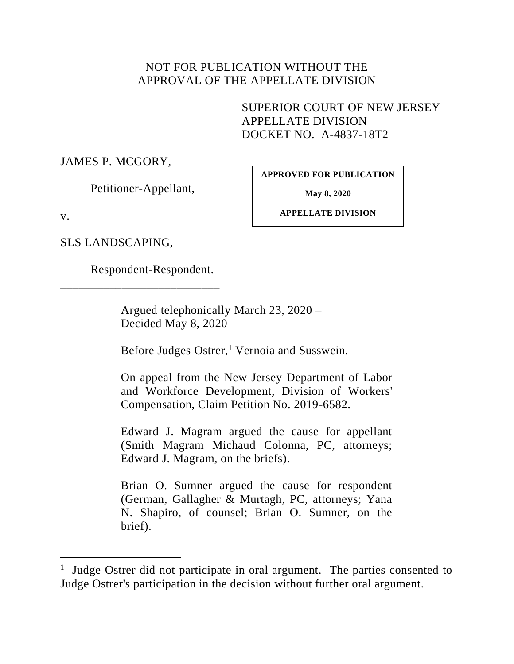### NOT FOR PUBLICATION WITHOUT THE APPROVAL OF THE APPELLATE DIVISION

SUPERIOR COURT OF NEW JERSEY APPELLATE DIVISION DOCKET NO. A-4837-18T2

JAMES P. MCGORY,

Petitioner-Appellant,

**APPROVED FOR PUBLICATION**

**May 8, 2020**

v.

 $\overline{a}$ 

**APPELLATE DIVISION**

SLS LANDSCAPING,

Respondent-Respondent.

\_\_\_\_\_\_\_\_\_\_\_\_\_\_\_\_\_\_\_\_\_\_\_\_\_\_

Argued telephonically March 23, 2020 – Decided May 8, 2020

Before Judges Ostrer,<sup>1</sup> Vernoia and Susswein.

On appeal from the New Jersey Department of Labor and Workforce Development, Division of Workers' Compensation, Claim Petition No. 2019-6582.

Edward J. Magram argued the cause for appellant (Smith Magram Michaud Colonna, PC, attorneys; Edward J. Magram, on the briefs).

Brian O. Sumner argued the cause for respondent (German, Gallagher & Murtagh, PC, attorneys; Yana N. Shapiro, of counsel; Brian O. Sumner, on the brief).

<sup>1</sup> Judge Ostrer did not participate in oral argument. The parties consented to Judge Ostrer's participation in the decision without further oral argument.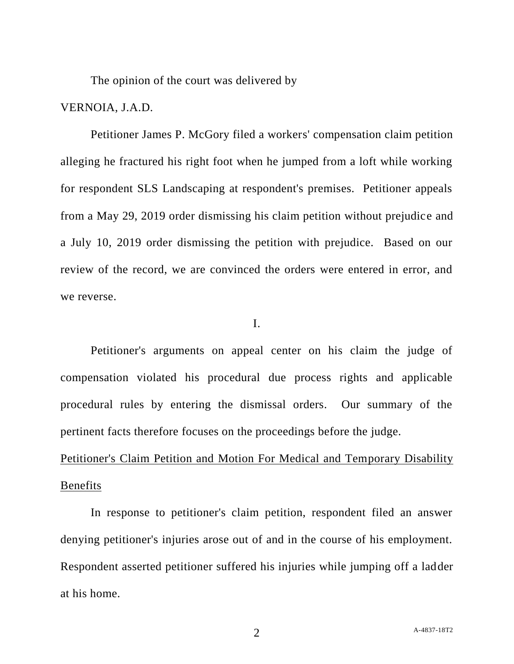The opinion of the court was delivered by

### VERNOIA, J.A.D.

Petitioner James P. McGory filed a workers' compensation claim petition alleging he fractured his right foot when he jumped from a loft while working for respondent SLS Landscaping at respondent's premises. Petitioner appeals from a May 29, 2019 order dismissing his claim petition without prejudice and a July 10, 2019 order dismissing the petition with prejudice. Based on our review of the record, we are convinced the orders were entered in error, and we reverse.

### I.

Petitioner's arguments on appeal center on his claim the judge of compensation violated his procedural due process rights and applicable procedural rules by entering the dismissal orders. Our summary of the pertinent facts therefore focuses on the proceedings before the judge.

# Petitioner's Claim Petition and Motion For Medical and Temporary Disability **Benefits**

In response to petitioner's claim petition, respondent filed an answer denying petitioner's injuries arose out of and in the course of his employment. Respondent asserted petitioner suffered his injuries while jumping off a ladder at his home.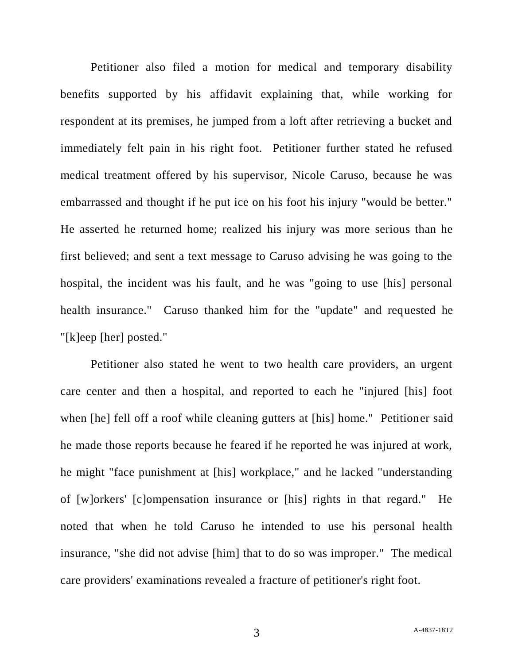Petitioner also filed a motion for medical and temporary disability benefits supported by his affidavit explaining that, while working for respondent at its premises, he jumped from a loft after retrieving a bucket and immediately felt pain in his right foot. Petitioner further stated he refused medical treatment offered by his supervisor, Nicole Caruso, because he was embarrassed and thought if he put ice on his foot his injury "would be better." He asserted he returned home; realized his injury was more serious than he first believed; and sent a text message to Caruso advising he was going to the hospital, the incident was his fault, and he was "going to use [his] personal health insurance." Caruso thanked him for the "update" and requested he "[k]eep [her] posted."

Petitioner also stated he went to two health care providers, an urgent care center and then a hospital, and reported to each he "injured [his] foot when [he] fell off a roof while cleaning gutters at [his] home." Petitioner said he made those reports because he feared if he reported he was injured at work, he might "face punishment at [his] workplace," and he lacked "understanding of [w]orkers' [c]ompensation insurance or [his] rights in that regard." He noted that when he told Caruso he intended to use his personal health insurance, "she did not advise [him] that to do so was improper." The medical care providers' examinations revealed a fracture of petitioner's right foot.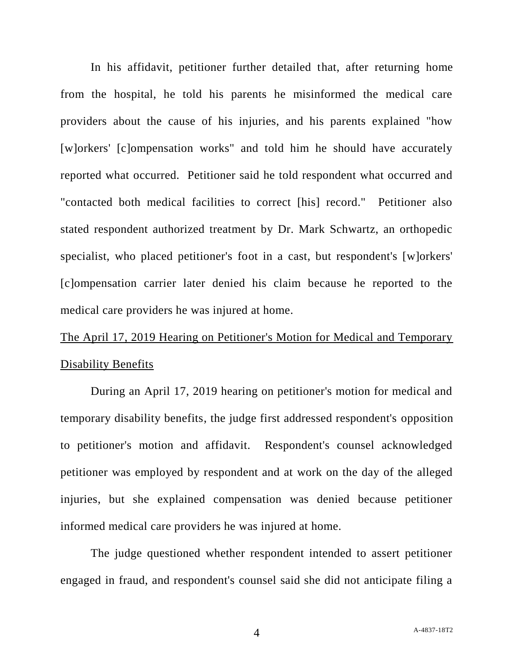In his affidavit, petitioner further detailed that, after returning home from the hospital, he told his parents he misinformed the medical care providers about the cause of his injuries, and his parents explained "how [w]orkers' [c]ompensation works" and told him he should have accurately reported what occurred. Petitioner said he told respondent what occurred and "contacted both medical facilities to correct [his] record." Petitioner also stated respondent authorized treatment by Dr. Mark Schwartz, an orthopedic specialist, who placed petitioner's foot in a cast, but respondent's [w]orkers' [c]ompensation carrier later denied his claim because he reported to the medical care providers he was injured at home.

# The April 17, 2019 Hearing on Petitioner's Motion for Medical and Temporary Disability Benefits

During an April 17, 2019 hearing on petitioner's motion for medical and temporary disability benefits, the judge first addressed respondent's opposition to petitioner's motion and affidavit. Respondent's counsel acknowledged petitioner was employed by respondent and at work on the day of the alleged injuries, but she explained compensation was denied because petitioner informed medical care providers he was injured at home.

The judge questioned whether respondent intended to assert petitioner engaged in fraud, and respondent's counsel said she did not anticipate filing a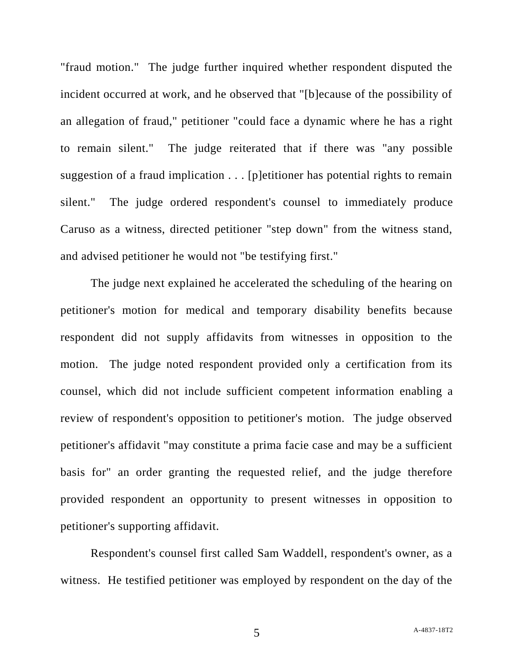"fraud motion." The judge further inquired whether respondent disputed the incident occurred at work, and he observed that "[b]ecause of the possibility of an allegation of fraud," petitioner "could face a dynamic where he has a right to remain silent." The judge reiterated that if there was "any possible suggestion of a fraud implication . . . [p]etitioner has potential rights to remain silent." The judge ordered respondent's counsel to immediately produce Caruso as a witness, directed petitioner "step down" from the witness stand, and advised petitioner he would not "be testifying first."

The judge next explained he accelerated the scheduling of the hearing on petitioner's motion for medical and temporary disability benefits because respondent did not supply affidavits from witnesses in opposition to the motion. The judge noted respondent provided only a certification from its counsel, which did not include sufficient competent information enabling a review of respondent's opposition to petitioner's motion. The judge observed petitioner's affidavit "may constitute a prima facie case and may be a sufficient basis for" an order granting the requested relief, and the judge therefore provided respondent an opportunity to present witnesses in opposition to petitioner's supporting affidavit.

Respondent's counsel first called Sam Waddell, respondent's owner, as a witness. He testified petitioner was employed by respondent on the day of the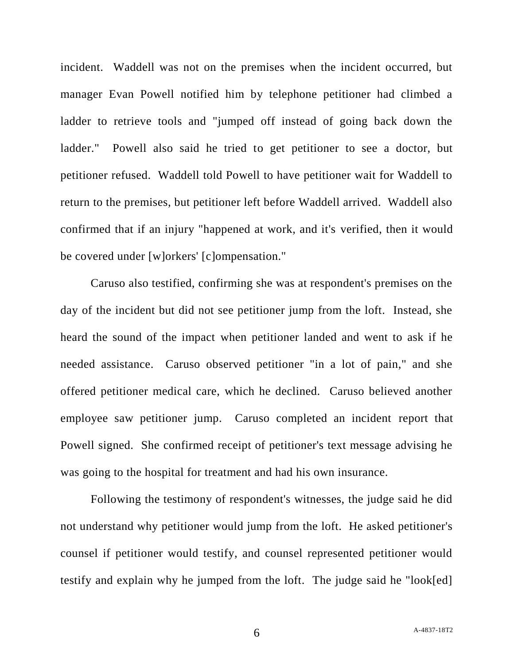incident. Waddell was not on the premises when the incident occurred, but manager Evan Powell notified him by telephone petitioner had climbed a ladder to retrieve tools and "jumped off instead of going back down the ladder." Powell also said he tried to get petitioner to see a doctor, but petitioner refused. Waddell told Powell to have petitioner wait for Waddell to return to the premises, but petitioner left before Waddell arrived. Waddell also confirmed that if an injury "happened at work, and it's verified, then it would be covered under [w]orkers' [c]ompensation."

Caruso also testified, confirming she was at respondent's premises on the day of the incident but did not see petitioner jump from the loft. Instead, she heard the sound of the impact when petitioner landed and went to ask if he needed assistance. Caruso observed petitioner "in a lot of pain," and she offered petitioner medical care, which he declined. Caruso believed another employee saw petitioner jump. Caruso completed an incident report that Powell signed. She confirmed receipt of petitioner's text message advising he was going to the hospital for treatment and had his own insurance.

Following the testimony of respondent's witnesses, the judge said he did not understand why petitioner would jump from the loft. He asked petitioner's counsel if petitioner would testify, and counsel represented petitioner would testify and explain why he jumped from the loft. The judge said he "look[ed]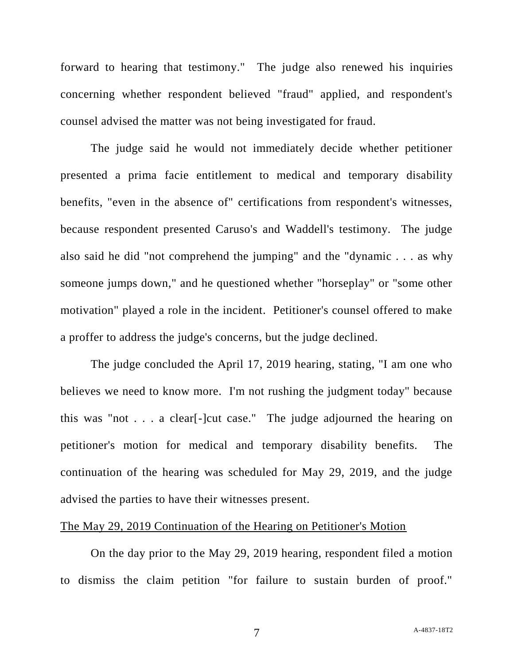forward to hearing that testimony." The judge also renewed his inquiries concerning whether respondent believed "fraud" applied, and respondent's counsel advised the matter was not being investigated for fraud.

The judge said he would not immediately decide whether petitioner presented a prima facie entitlement to medical and temporary disability benefits, "even in the absence of" certifications from respondent's witnesses, because respondent presented Caruso's and Waddell's testimony. The judge also said he did "not comprehend the jumping" and the "dynamic . . . as why someone jumps down," and he questioned whether "horseplay" or "some other motivation" played a role in the incident. Petitioner's counsel offered to make a proffer to address the judge's concerns, but the judge declined.

The judge concluded the April 17, 2019 hearing, stating, "I am one who believes we need to know more. I'm not rushing the judgment today" because this was "not . . . a clear[-]cut case." The judge adjourned the hearing on petitioner's motion for medical and temporary disability benefits. The continuation of the hearing was scheduled for May 29, 2019, and the judge advised the parties to have their witnesses present.

### The May 29, 2019 Continuation of the Hearing on Petitioner's Motion

On the day prior to the May 29, 2019 hearing, respondent filed a motion to dismiss the claim petition "for failure to sustain burden of proof."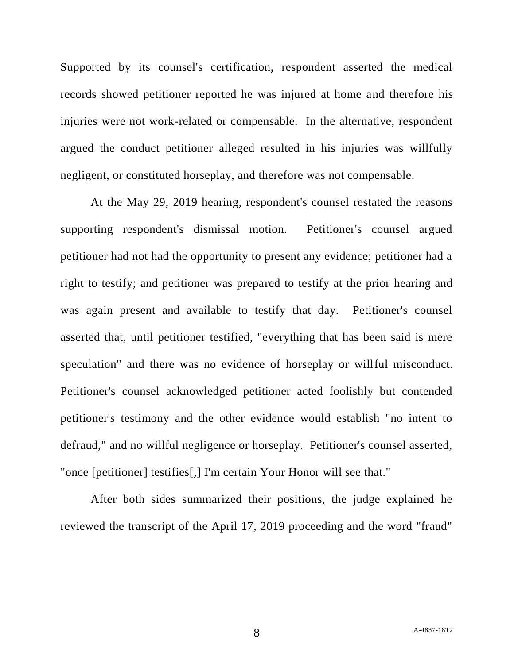Supported by its counsel's certification, respondent asserted the medical records showed petitioner reported he was injured at home and therefore his injuries were not work-related or compensable. In the alternative, respondent argued the conduct petitioner alleged resulted in his injuries was willfully negligent, or constituted horseplay, and therefore was not compensable.

At the May 29, 2019 hearing, respondent's counsel restated the reasons supporting respondent's dismissal motion. Petitioner's counsel argued petitioner had not had the opportunity to present any evidence; petitioner had a right to testify; and petitioner was prepared to testify at the prior hearing and was again present and available to testify that day. Petitioner's counsel asserted that, until petitioner testified, "everything that has been said is mere speculation" and there was no evidence of horseplay or willful misconduct. Petitioner's counsel acknowledged petitioner acted foolishly but contended petitioner's testimony and the other evidence would establish "no intent to defraud," and no willful negligence or horseplay. Petitioner's counsel asserted, "once [petitioner] testifies[,] I'm certain Your Honor will see that."

After both sides summarized their positions, the judge explained he reviewed the transcript of the April 17, 2019 proceeding and the word "fraud"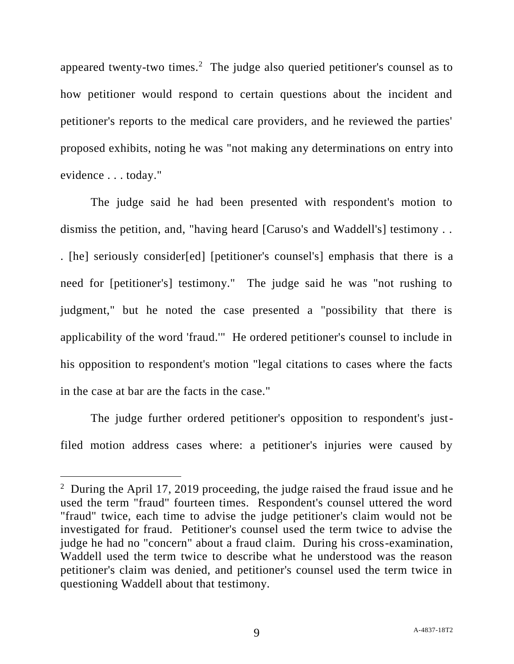appeared twenty-two times.<sup>2</sup> The judge also queried petitioner's counsel as to how petitioner would respond to certain questions about the incident and petitioner's reports to the medical care providers, and he reviewed the parties' proposed exhibits, noting he was "not making any determinations on entry into evidence . . . today."

The judge said he had been presented with respondent's motion to dismiss the petition, and, "having heard [Caruso's and Waddell's] testimony . . . [he] seriously consider[ed] [petitioner's counsel's] emphasis that there is a need for [petitioner's] testimony." The judge said he was "not rushing to judgment," but he noted the case presented a "possibility that there is applicability of the word 'fraud.'" He ordered petitioner's counsel to include in his opposition to respondent's motion "legal citations to cases where the facts in the case at bar are the facts in the case."

The judge further ordered petitioner's opposition to respondent's justfiled motion address cases where: a petitioner's injuries were caused by

 $\overline{a}$ 

<sup>&</sup>lt;sup>2</sup> During the April 17, 2019 proceeding, the judge raised the fraud issue and he used the term "fraud" fourteen times. Respondent's counsel uttered the word "fraud" twice, each time to advise the judge petitioner's claim would not be investigated for fraud. Petitioner's counsel used the term twice to advise the judge he had no "concern" about a fraud claim. During his cross-examination, Waddell used the term twice to describe what he understood was the reason petitioner's claim was denied, and petitioner's counsel used the term twice in questioning Waddell about that testimony.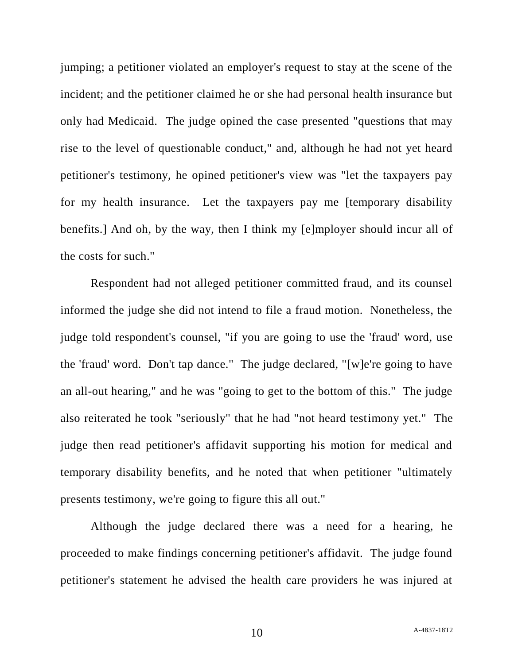jumping; a petitioner violated an employer's request to stay at the scene of the incident; and the petitioner claimed he or she had personal health insurance but only had Medicaid. The judge opined the case presented "questions that may rise to the level of questionable conduct," and, although he had not yet heard petitioner's testimony, he opined petitioner's view was "let the taxpayers pay for my health insurance. Let the taxpayers pay me [temporary disability benefits.] And oh, by the way, then I think my [e]mployer should incur all of the costs for such."

Respondent had not alleged petitioner committed fraud, and its counsel informed the judge she did not intend to file a fraud motion. Nonetheless, the judge told respondent's counsel, "if you are going to use the 'fraud' word, use the 'fraud' word. Don't tap dance." The judge declared, "[w]e're going to have an all-out hearing," and he was "going to get to the bottom of this." The judge also reiterated he took "seriously" that he had "not heard testimony yet." The judge then read petitioner's affidavit supporting his motion for medical and temporary disability benefits, and he noted that when petitioner "ultimately presents testimony, we're going to figure this all out."

Although the judge declared there was a need for a hearing, he proceeded to make findings concerning petitioner's affidavit. The judge found petitioner's statement he advised the health care providers he was injured at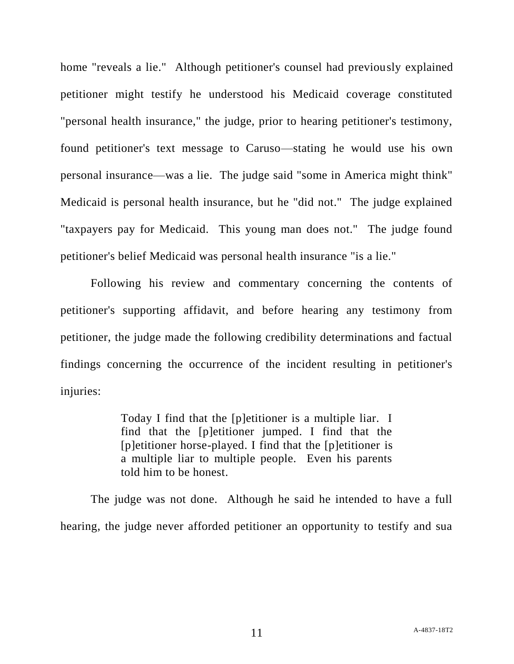home "reveals a lie." Although petitioner's counsel had previously explained petitioner might testify he understood his Medicaid coverage constituted "personal health insurance," the judge, prior to hearing petitioner's testimony, found petitioner's text message to Caruso—stating he would use his own personal insurance—was a lie. The judge said "some in America might think" Medicaid is personal health insurance, but he "did not." The judge explained "taxpayers pay for Medicaid. This young man does not." The judge found petitioner's belief Medicaid was personal health insurance "is a lie."

Following his review and commentary concerning the contents of petitioner's supporting affidavit, and before hearing any testimony from petitioner, the judge made the following credibility determinations and factual findings concerning the occurrence of the incident resulting in petitioner's injuries:

> Today I find that the [p]etitioner is a multiple liar. I find that the [p]etitioner jumped. I find that the [p]etitioner horse-played. I find that the [p]etitioner is a multiple liar to multiple people. Even his parents told him to be honest.

The judge was not done. Although he said he intended to have a full hearing, the judge never afforded petitioner an opportunity to testify and sua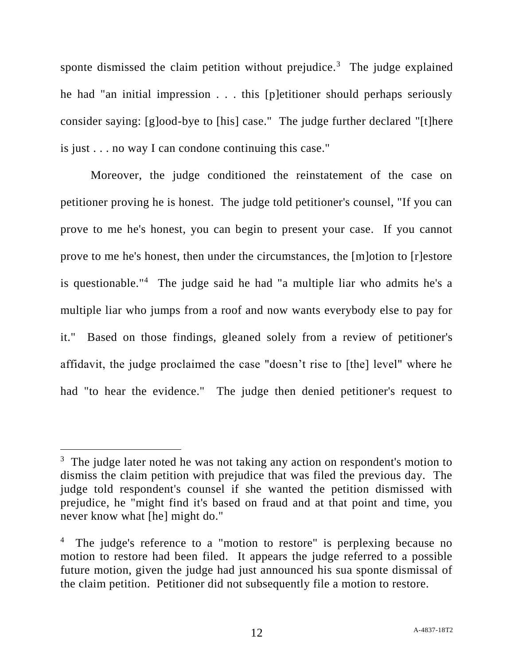sponte dismissed the claim petition without prejudice.<sup>3</sup> The judge explained he had "an initial impression . . . this [p]etitioner should perhaps seriously consider saying: [g]ood-bye to [his] case." The judge further declared "[t]here is just . . . no way I can condone continuing this case."

Moreover, the judge conditioned the reinstatement of the case on petitioner proving he is honest. The judge told petitioner's counsel, "If you can prove to me he's honest, you can begin to present your case. If you cannot prove to me he's honest, then under the circumstances, the [m]otion to [r]estore is questionable."<sup>4</sup> The judge said he had "a multiple liar who admits he's a multiple liar who jumps from a roof and now wants everybody else to pay for it." Based on those findings, gleaned solely from a review of petitioner's affidavit, the judge proclaimed the case "doesn't rise to [the] level" where he had "to hear the evidence." The judge then denied petitioner's request to

l

 $3$  The judge later noted he was not taking any action on respondent's motion to dismiss the claim petition with prejudice that was filed the previous day. The judge told respondent's counsel if she wanted the petition dismissed with prejudice, he "might find it's based on fraud and at that point and time, you never know what [he] might do."

<sup>4</sup> The judge's reference to a "motion to restore" is perplexing because no motion to restore had been filed. It appears the judge referred to a possible future motion, given the judge had just announced his sua sponte dismissal of the claim petition. Petitioner did not subsequently file a motion to restore.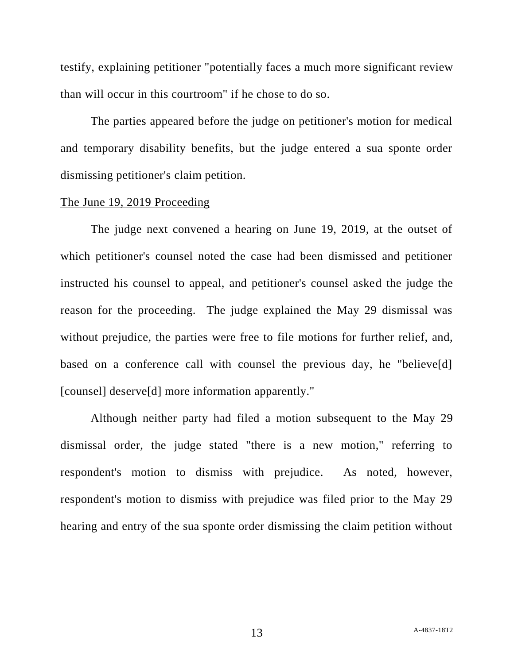testify, explaining petitioner "potentially faces a much more significant review than will occur in this courtroom" if he chose to do so.

The parties appeared before the judge on petitioner's motion for medical and temporary disability benefits, but the judge entered a sua sponte order dismissing petitioner's claim petition.

#### The June 19, 2019 Proceeding

The judge next convened a hearing on June 19, 2019, at the outset of which petitioner's counsel noted the case had been dismissed and petitioner instructed his counsel to appeal, and petitioner's counsel asked the judge the reason for the proceeding. The judge explained the May 29 dismissal was without prejudice, the parties were free to file motions for further relief, and, based on a conference call with counsel the previous day, he "believe[d] [counsel] deserve[d] more information apparently."

Although neither party had filed a motion subsequent to the May 29 dismissal order, the judge stated "there is a new motion," referring to respondent's motion to dismiss with prejudice. As noted, however, respondent's motion to dismiss with prejudice was filed prior to the May 29 hearing and entry of the sua sponte order dismissing the claim petition without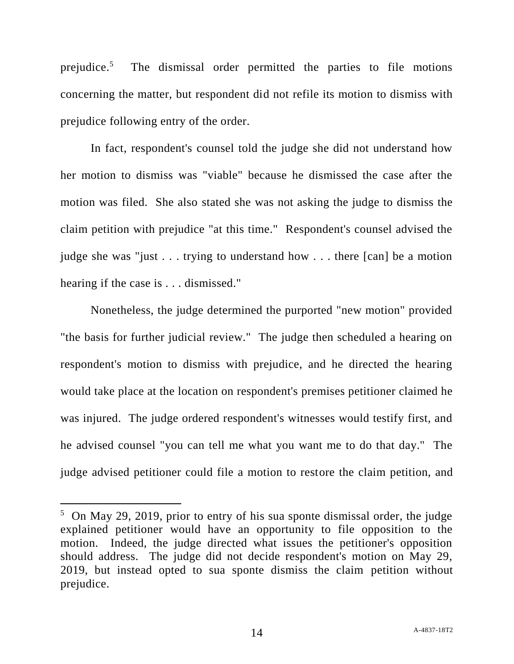prejudice.<sup>5</sup> The dismissal order permitted the parties to file motions concerning the matter, but respondent did not refile its motion to dismiss with prejudice following entry of the order.

In fact, respondent's counsel told the judge she did not understand how her motion to dismiss was "viable" because he dismissed the case after the motion was filed. She also stated she was not asking the judge to dismiss the claim petition with prejudice "at this time." Respondent's counsel advised the judge she was "just . . . trying to understand how . . . there [can] be a motion hearing if the case is . . . dismissed."

Nonetheless, the judge determined the purported "new motion" provided "the basis for further judicial review." The judge then scheduled a hearing on respondent's motion to dismiss with prejudice, and he directed the hearing would take place at the location on respondent's premises petitioner claimed he was injured. The judge ordered respondent's witnesses would testify first, and he advised counsel "you can tell me what you want me to do that day." The judge advised petitioner could file a motion to restore the claim petition, and

l

<sup>&</sup>lt;sup>5</sup> On May 29, 2019, prior to entry of his sua sponte dismissal order, the judge explained petitioner would have an opportunity to file opposition to the motion. Indeed, the judge directed what issues the petitioner's opposition should address. The judge did not decide respondent's motion on May 29, 2019, but instead opted to sua sponte dismiss the claim petition without prejudice.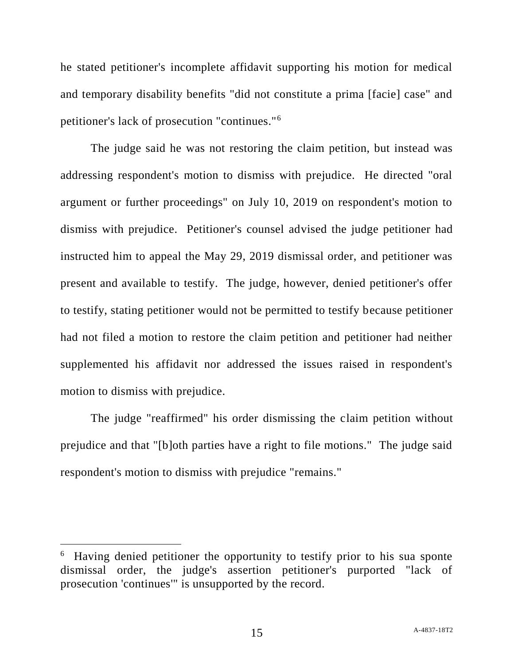he stated petitioner's incomplete affidavit supporting his motion for medical and temporary disability benefits "did not constitute a prima [facie] case" and petitioner's lack of prosecution "continues."<sup>6</sup>

The judge said he was not restoring the claim petition, but instead was addressing respondent's motion to dismiss with prejudice. He directed "oral argument or further proceedings" on July 10, 2019 on respondent's motion to dismiss with prejudice. Petitioner's counsel advised the judge petitioner had instructed him to appeal the May 29, 2019 dismissal order, and petitioner was present and available to testify. The judge, however, denied petitioner's offer to testify, stating petitioner would not be permitted to testify because petitioner had not filed a motion to restore the claim petition and petitioner had neither supplemented his affidavit nor addressed the issues raised in respondent's motion to dismiss with prejudice.

The judge "reaffirmed" his order dismissing the claim petition without prejudice and that "[b]oth parties have a right to file motions." The judge said respondent's motion to dismiss with prejudice "remains."

 $\overline{a}$ 

<sup>6</sup> Having denied petitioner the opportunity to testify prior to his sua sponte dismissal order, the judge's assertion petitioner's purported "lack of prosecution 'continues'" is unsupported by the record.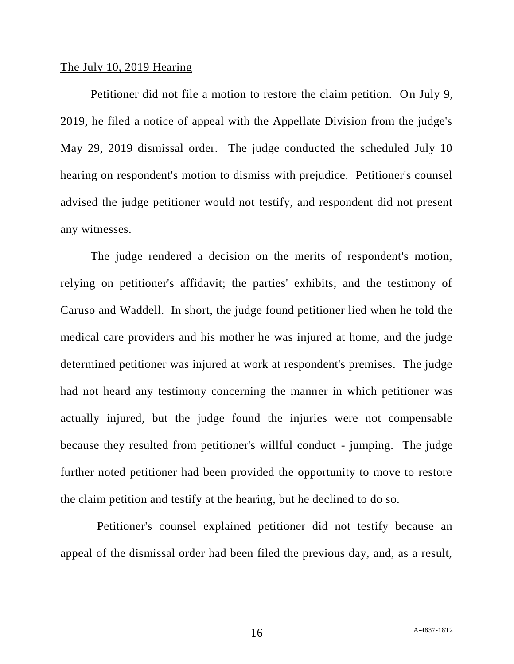### The July 10, 2019 Hearing

Petitioner did not file a motion to restore the claim petition. On July 9, 2019, he filed a notice of appeal with the Appellate Division from the judge's May 29, 2019 dismissal order. The judge conducted the scheduled July 10 hearing on respondent's motion to dismiss with prejudice. Petitioner's counsel advised the judge petitioner would not testify, and respondent did not present any witnesses.

The judge rendered a decision on the merits of respondent's motion, relying on petitioner's affidavit; the parties' exhibits; and the testimony of Caruso and Waddell. In short, the judge found petitioner lied when he told the medical care providers and his mother he was injured at home, and the judge determined petitioner was injured at work at respondent's premises. The judge had not heard any testimony concerning the manner in which petitioner was actually injured, but the judge found the injuries were not compensable because they resulted from petitioner's willful conduct - jumping. The judge further noted petitioner had been provided the opportunity to move to restore the claim petition and testify at the hearing, but he declined to do so.

 Petitioner's counsel explained petitioner did not testify because an appeal of the dismissal order had been filed the previous day, and, as a result,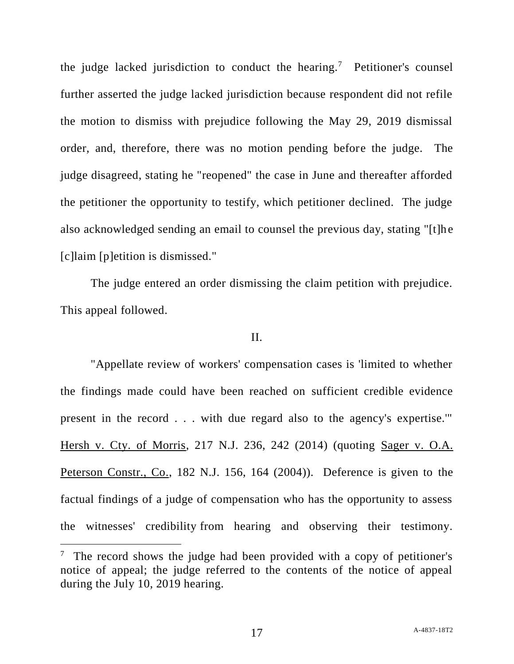the judge lacked jurisdiction to conduct the hearing.<sup>7</sup> Petitioner's counsel further asserted the judge lacked jurisdiction because respondent did not refile the motion to dismiss with prejudice following the May 29, 2019 dismissal order, and, therefore, there was no motion pending before the judge. The judge disagreed, stating he "reopened" the case in June and thereafter afforded the petitioner the opportunity to testify, which petitioner declined. The judge also acknowledged sending an email to counsel the previous day, stating "[t]he [c]laim [p]etition is dismissed."

The judge entered an order dismissing the claim petition with prejudice. This appeal followed.

### II.

"Appellate review of workers' compensation cases is 'limited to whether the findings made could have been reached on sufficient credible evidence present in the record . . . with due regard also to the agency's expertise.'" Hersh v. Cty. of Morris, 217 N.J. 236, 242 (2014) (quoting Sager v. O.A. Peterson Constr., Co., 182 N.J. 156, 164 (2004)). Deference is given to the factual findings of a judge of compensation who has the opportunity to assess the witnesses' credibility from hearing and observing their testimony.

 $\overline{a}$ 

<sup>&</sup>lt;sup>7</sup> The record shows the judge had been provided with a copy of petitioner's notice of appeal; the judge referred to the contents of the notice of appeal during the July 10, 2019 hearing.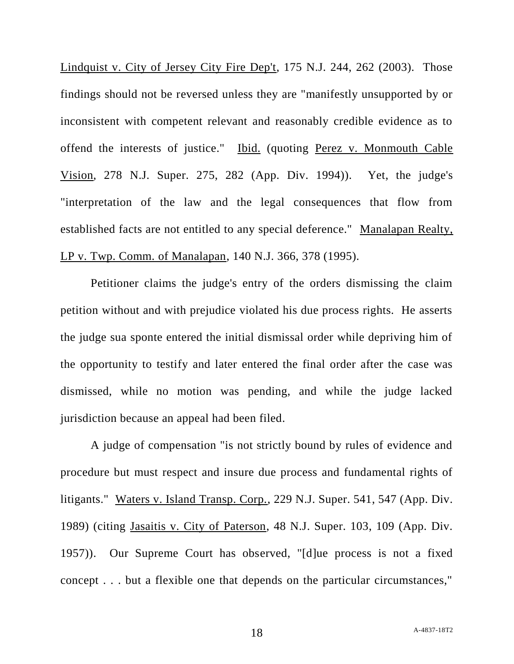Lindquist v. City of Jersey City Fire Dep't, 175 N.J. 244, 262 (2003). Those findings should not be reversed unless they are "manifestly unsupported by or inconsistent with competent relevant and reasonably credible evidence as to offend the interests of justice." Ibid. (quoting Perez v. Monmouth Cable Vision, 278 N.J. Super. 275, 282 (App. Div. 1994)). Yet, the judge's "interpretation of the law and the legal consequences that flow from established facts are not entitled to any special deference." Manalapan Realty, LP v. Twp. Comm. of Manalapan, 140 N.J. 366, 378 (1995).

Petitioner claims the judge's entry of the orders dismissing the claim petition without and with prejudice violated his due process rights. He asserts the judge sua sponte entered the initial dismissal order while depriving him of the opportunity to testify and later entered the final order after the case was dismissed, while no motion was pending, and while the judge lacked jurisdiction because an appeal had been filed.

A judge of compensation "is not strictly bound by rules of evidence and procedure but must respect and insure due process and fundamental rights of litigants." Waters v. Island Transp. Corp., 229 N.J. Super. 541, 547 (App. Div. 1989) (citing Jasaitis v. City of Paterson, 48 N.J. Super. 103, 109 (App. Div. 1957)). Our Supreme Court has observed, "[d]ue process is not a fixed concept . . . but a flexible one that depends on the particular circumstances,"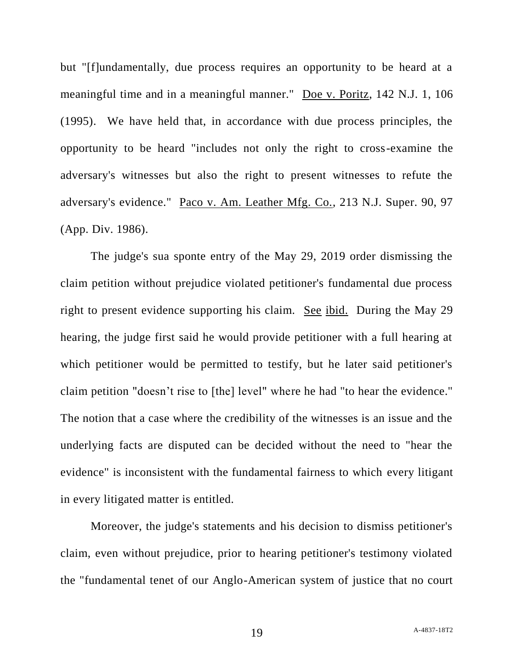but "[f]undamentally, due process requires an opportunity to be heard at a meaningful time and in a meaningful manner." Doe v. Poritz, 142 N.J. 1, 106 (1995). We have held that, in accordance with due process principles, the opportunity to be heard "includes not only the right to cross-examine the adversary's witnesses but also the right to present witnesses to refute the adversary's evidence." Paco v. Am. Leather Mfg. Co., 213 N.J. Super. 90, 97 (App. Div. 1986).

The judge's sua sponte entry of the May 29, 2019 order dismissing the claim petition without prejudice violated petitioner's fundamental due process right to present evidence supporting his claim. See ibid. During the May 29 hearing, the judge first said he would provide petitioner with a full hearing at which petitioner would be permitted to testify, but he later said petitioner's claim petition "doesn't rise to [the] level" where he had "to hear the evidence." The notion that a case where the credibility of the witnesses is an issue and the underlying facts are disputed can be decided without the need to "hear the evidence" is inconsistent with the fundamental fairness to which every litigant in every litigated matter is entitled.

Moreover, the judge's statements and his decision to dismiss petitioner's claim, even without prejudice, prior to hearing petitioner's testimony violated the "fundamental tenet of our Anglo-American system of justice that no court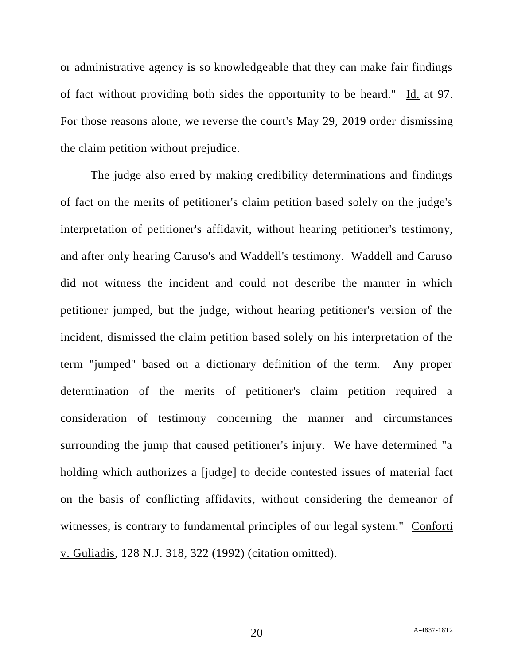or administrative agency is so knowledgeable that they can make fair findings of fact without providing both sides the opportunity to be heard." Id. at 97. For those reasons alone, we reverse the court's May 29, 2019 order dismissing the claim petition without prejudice.

The judge also erred by making credibility determinations and findings of fact on the merits of petitioner's claim petition based solely on the judge's interpretation of petitioner's affidavit, without hearing petitioner's testimony, and after only hearing Caruso's and Waddell's testimony. Waddell and Caruso did not witness the incident and could not describe the manner in which petitioner jumped, but the judge, without hearing petitioner's version of the incident, dismissed the claim petition based solely on his interpretation of the term "jumped" based on a dictionary definition of the term. Any proper determination of the merits of petitioner's claim petition required a consideration of testimony concerning the manner and circumstances surrounding the jump that caused petitioner's injury. We have determined "a holding which authorizes a [judge] to decide contested issues of material fact on the basis of conflicting affidavits, without considering the demeanor of witnesses, is contrary to fundamental principles of our legal system." Conforti v. Guliadis, 128 N.J. 318, 322 (1992) (citation omitted).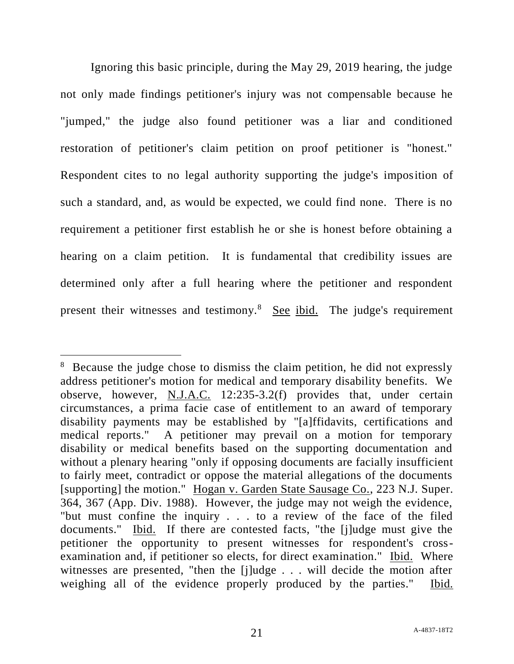Ignoring this basic principle, during the May 29, 2019 hearing, the judge not only made findings petitioner's injury was not compensable because he "jumped," the judge also found petitioner was a liar and conditioned restoration of petitioner's claim petition on proof petitioner is "honest." Respondent cites to no legal authority supporting the judge's imposition of such a standard, and, as would be expected, we could find none. There is no requirement a petitioner first establish he or she is honest before obtaining a hearing on a claim petition. It is fundamental that credibility issues are determined only after a full hearing where the petitioner and respondent present their witnesses and testimony.<sup>8</sup> See ibid. The judge's requirement

 $\overline{a}$ 

<sup>&</sup>lt;sup>8</sup> Because the judge chose to dismiss the claim petition, he did not expressly address petitioner's motion for medical and temporary disability benefits. We observe, however, N.J.A.C. 12:235-3.2(f) provides that, under certain circumstances, a prima facie case of entitlement to an award of temporary disability payments may be established by "[a]ffidavits, certifications and medical reports." A petitioner may prevail on a motion for temporary disability or medical benefits based on the supporting documentation and without a plenary hearing "only if opposing documents are facially insufficient to fairly meet, contradict or oppose the material allegations of the documents [supporting] the motion." Hogan v. Garden State Sausage Co., 223 N.J. Super. 364, 367 (App. Div. 1988). However, the judge may not weigh the evidence, "but must confine the inquiry . . . to a review of the face of the filed documents." Ibid. If there are contested facts, "the [j]udge must give the petitioner the opportunity to present witnesses for respondent's crossexamination and, if petitioner so elects, for direct examination." Ibid. Where witnesses are presented, "then the [j]udge . . . will decide the motion after weighing all of the evidence properly produced by the parties." Ibid.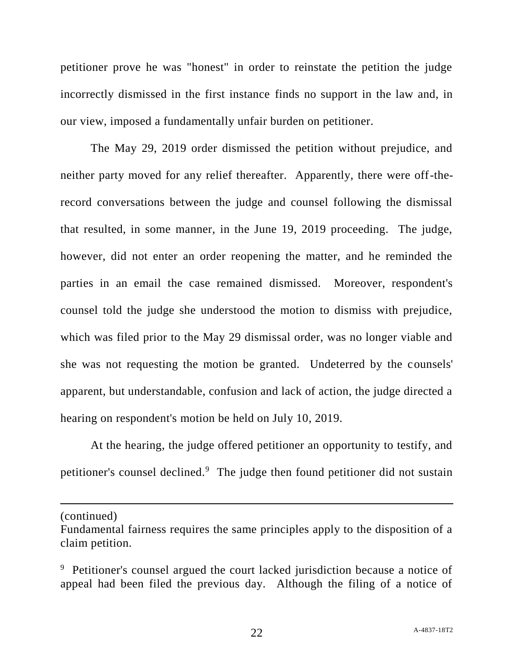petitioner prove he was "honest" in order to reinstate the petition the judge incorrectly dismissed in the first instance finds no support in the law and, in our view, imposed a fundamentally unfair burden on petitioner.

The May 29, 2019 order dismissed the petition without prejudice, and neither party moved for any relief thereafter. Apparently, there were off-therecord conversations between the judge and counsel following the dismissal that resulted, in some manner, in the June 19, 2019 proceeding. The judge, however, did not enter an order reopening the matter, and he reminded the parties in an email the case remained dismissed. Moreover, respondent's counsel told the judge she understood the motion to dismiss with prejudice, which was filed prior to the May 29 dismissal order, was no longer viable and she was not requesting the motion be granted. Undeterred by the counsels' apparent, but understandable, confusion and lack of action, the judge directed a hearing on respondent's motion be held on July 10, 2019.

At the hearing, the judge offered petitioner an opportunity to testify, and petitioner's counsel declined.<sup>9</sup> The judge then found petitioner did not sustain

(continued)

l

Fundamental fairness requires the same principles apply to the disposition of a claim petition.

<sup>&</sup>lt;sup>9</sup> Petitioner's counsel argued the court lacked jurisdiction because a notice of appeal had been filed the previous day. Although the filing of a notice of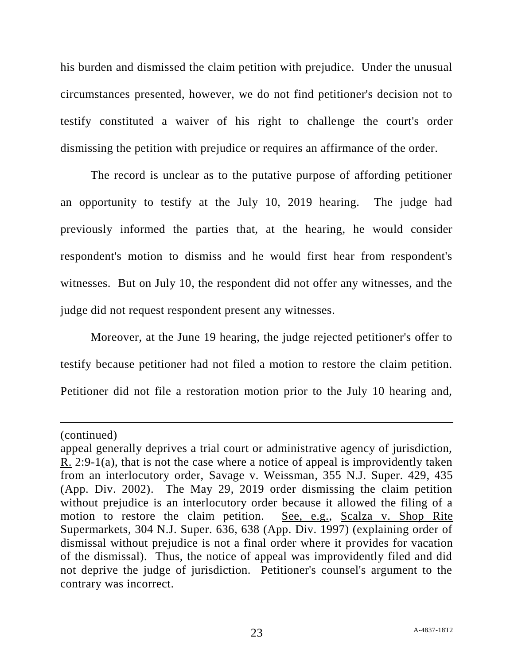his burden and dismissed the claim petition with prejudice. Under the unusual circumstances presented, however, we do not find petitioner's decision not to testify constituted a waiver of his right to challenge the court's order dismissing the petition with prejudice or requires an affirmance of the order.

The record is unclear as to the putative purpose of affording petitioner an opportunity to testify at the July 10, 2019 hearing. The judge had previously informed the parties that, at the hearing, he would consider respondent's motion to dismiss and he would first hear from respondent's witnesses. But on July 10, the respondent did not offer any witnesses, and the judge did not request respondent present any witnesses.

Moreover, at the June 19 hearing, the judge rejected petitioner's offer to testify because petitioner had not filed a motion to restore the claim petition. Petitioner did not file a restoration motion prior to the July 10 hearing and,

 $\overline{a}$ 

<sup>(</sup>continued)

appeal generally deprives a trial court or administrative agency of jurisdiction, R. 2:9-1(a), that is not the case where a notice of appeal is improvidently taken from an interlocutory order, Savage v. Weissman, 355 N.J. Super. 429, 435 (App. Div. 2002). The May 29, 2019 order dismissing the claim petition without prejudice is an interlocutory order because it allowed the filing of a motion to restore the claim petition. See, e.g., Scalza v. Shop Rite Supermarkets, 304 N.J. Super. 636, 638 (App. Div. 1997) (explaining order of dismissal without prejudice is not a final order where it provides for vacation of the dismissal). Thus, the notice of appeal was improvidently filed and did not deprive the judge of jurisdiction. Petitioner's counsel's argument to the contrary was incorrect.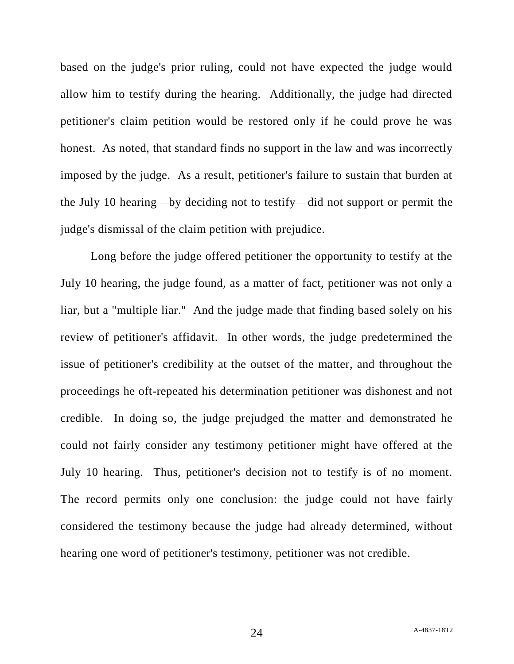based on the judge's prior ruling, could not have expected the judge would allow him to testify during the hearing. Additionally, the judge had directed petitioner's claim petition would be restored only if he could prove he was honest. As noted, that standard finds no support in the law and was incorrectly imposed by the judge. As a result, petitioner's failure to sustain that burden at the July 10 hearing—by deciding not to testify—did not support or permit the judge's dismissal of the claim petition with prejudice.

Long before the judge offered petitioner the opportunity to testify at the July 10 hearing, the judge found, as a matter of fact, petitioner was not only a liar, but a "multiple liar." And the judge made that finding based solely on his review of petitioner's affidavit. In other words, the judge predetermined the issue of petitioner's credibility at the outset of the matter, and throughout the proceedings he oft-repeated his determination petitioner was dishonest and not credible. In doing so, the judge prejudged the matter and demonstrated he could not fairly consider any testimony petitioner might have offered at the July 10 hearing. Thus, petitioner's decision not to testify is of no moment. The record permits only one conclusion: the judge could not have fairly considered the testimony because the judge had already determined, without hearing one word of petitioner's testimony, petitioner was not credible.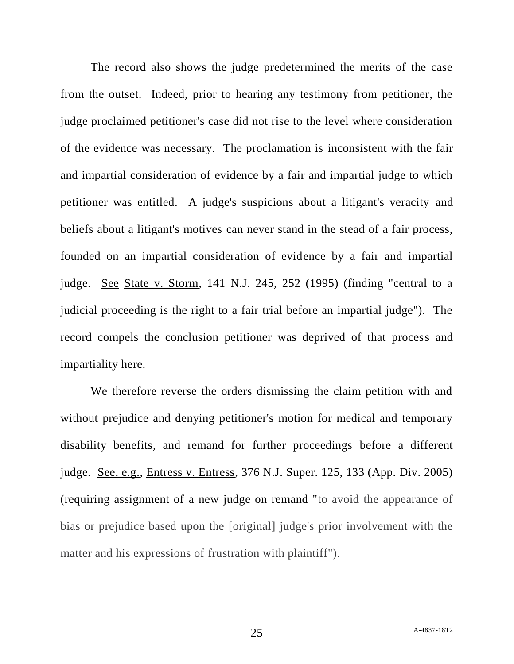The record also shows the judge predetermined the merits of the case from the outset. Indeed, prior to hearing any testimony from petitioner, the judge proclaimed petitioner's case did not rise to the level where consideration of the evidence was necessary. The proclamation is inconsistent with the fair and impartial consideration of evidence by a fair and impartial judge to which petitioner was entitled. A judge's suspicions about a litigant's veracity and beliefs about a litigant's motives can never stand in the stead of a fair process, founded on an impartial consideration of evidence by a fair and impartial judge. See State v. Storm, 141 N.J. 245, 252 (1995) (finding "central to a judicial proceeding is the right to a fair trial before an impartial judge"). The record compels the conclusion petitioner was deprived of that process and impartiality here.

We therefore reverse the orders dismissing the claim petition with and without prejudice and denying petitioner's motion for medical and temporary disability benefits, and remand for further proceedings before a different judge. See, e.g., Entress v. Entress, 376 N.J. Super. 125, 133 (App. Div. 2005) (requiring assignment of a new judge on remand "to avoid the appearance of bias or prejudice based upon the [original] judge's prior involvement with the matter and his expressions of frustration with plaintiff").